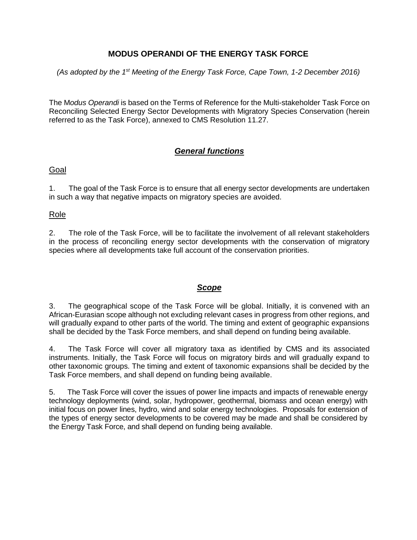## **MODUS OPERANDI OF THE ENERGY TASK FORCE**

(As adopted by the 1<sup>st</sup> Meeting of the Energy Task Force, Cape Town, 1-2 December 2016)

The M*odus Operandi* is based on the Terms of Reference for the Multi-stakeholder Task Force on Reconciling Selected Energy Sector Developments with Migratory Species Conservation (herein referred to as the Task Force), annexed to CMS Resolution 11.27.

## *General functions*

### Goal

1. The goal of the Task Force is to ensure that all energy sector developments are undertaken in such a way that negative impacts on migratory species are avoided.

#### Role

2. The role of the Task Force, will be to facilitate the involvement of all relevant stakeholders in the process of reconciling energy sector developments with the conservation of migratory species where all developments take full account of the conservation priorities.

#### *Scope*

3. The geographical scope of the Task Force will be global. Initially, it is convened with an African-Eurasian scope although not excluding relevant cases in progress from other regions, and will gradually expand to other parts of the world. The timing and extent of geographic expansions shall be decided by the Task Force members, and shall depend on funding being available.

4. The Task Force will cover all migratory taxa as identified by CMS and its associated instruments. Initially, the Task Force will focus on migratory birds and will gradually expand to other taxonomic groups. The timing and extent of taxonomic expansions shall be decided by the Task Force members, and shall depend on funding being available.

5. The Task Force will cover the issues of power line impacts and impacts of renewable energy technology deployments (wind, solar, hydropower, geothermal, biomass and ocean energy) with initial focus on power lines, hydro, wind and solar energy technologies. Proposals for extension of the types of energy sector developments to be covered may be made and shall be considered by the Energy Task Force, and shall depend on funding being available.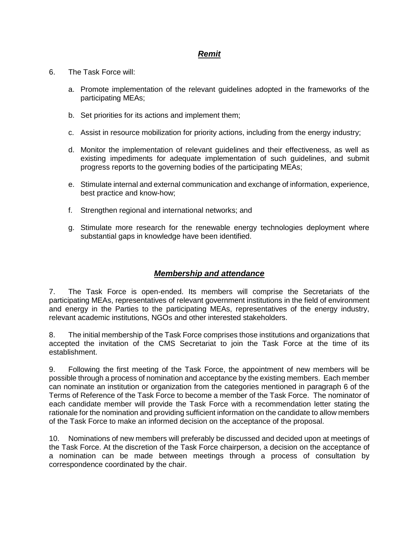### *Remit*

- 6. The Task Force will:
	- a. Promote implementation of the relevant guidelines adopted in the frameworks of the participating MEAs;
	- b. Set priorities for its actions and implement them;
	- c. Assist in resource mobilization for priority actions, including from the energy industry;
	- d. Monitor the implementation of relevant guidelines and their effectiveness, as well as existing impediments for adequate implementation of such guidelines, and submit progress reports to the governing bodies of the participating MEAs;
	- e. Stimulate internal and external communication and exchange of information, experience, best practice and know-how;
	- f. Strengthen regional and international networks; and
	- g. Stimulate more research for the renewable energy technologies deployment where substantial gaps in knowledge have been identified.

### *Membership and attendance*

7. The Task Force is open-ended. Its members will comprise the Secretariats of the participating MEAs, representatives of relevant government institutions in the field of environment and energy in the Parties to the participating MEAs, representatives of the energy industry, relevant academic institutions, NGOs and other interested stakeholders.

8. The initial membership of the Task Force comprises those institutions and organizations that accepted the invitation of the CMS Secretariat to join the Task Force at the time of its establishment.

9. Following the first meeting of the Task Force, the appointment of new members will be possible through a process of nomination and acceptance by the existing members. Each member can nominate an institution or organization from the categories mentioned in paragraph 6 of the Terms of Reference of the Task Force to become a member of the Task Force. The nominator of each candidate member will provide the Task Force with a recommendation letter stating the rationale for the nomination and providing sufficient information on the candidate to allow members of the Task Force to make an informed decision on the acceptance of the proposal.

10. Nominations of new members will preferably be discussed and decided upon at meetings of the Task Force. At the discretion of the Task Force chairperson, a decision on the acceptance of a nomination can be made between meetings through a process of consultation by correspondence coordinated by the chair.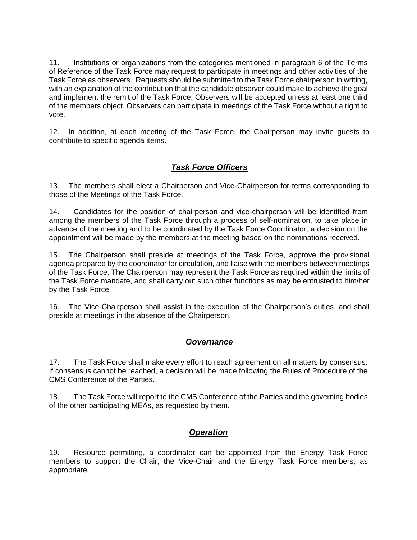11. Institutions or organizations from the categories mentioned in paragraph 6 of the Terms of Reference of the Task Force may request to participate in meetings and other activities of the Task Force as observers. Requests should be submitted to the Task Force chairperson in writing, with an explanation of the contribution that the candidate observer could make to achieve the goal and implement the remit of the Task Force. Observers will be accepted unless at least one third of the members object. Observers can participate in meetings of the Task Force without a right to vote.

12. In addition, at each meeting of the Task Force, the Chairperson may invite guests to contribute to specific agenda items.

# *Task Force Officers*

13. The members shall elect a Chairperson and Vice-Chairperson for terms corresponding to those of the Meetings of the Task Force.

14. Candidates for the position of chairperson and vice-chairperson will be identified from among the members of the Task Force through a process of self-nomination, to take place in advance of the meeting and to be coordinated by the Task Force Coordinator; a decision on the appointment will be made by the members at the meeting based on the nominations received.

15. The Chairperson shall preside at meetings of the Task Force, approve the provisional agenda prepared by the coordinator for circulation, and liaise with the members between meetings of the Task Force. The Chairperson may represent the Task Force as required within the limits of the Task Force mandate, and shall carry out such other functions as may be entrusted to him/her by the Task Force.

16. The Vice-Chairperson shall assist in the execution of the Chairperson's duties, and shall preside at meetings in the absence of the Chairperson.

### *Governance*

17. The Task Force shall make every effort to reach agreement on all matters by consensus. If consensus cannot be reached, a decision will be made following the Rules of Procedure of the CMS Conference of the Parties.

18. The Task Force will report to the CMS Conference of the Parties and the governing bodies of the other participating MEAs, as requested by them.

### *Operation*

19. Resource permitting, a coordinator can be appointed from the Energy Task Force members to support the Chair, the Vice-Chair and the Energy Task Force members, as appropriate.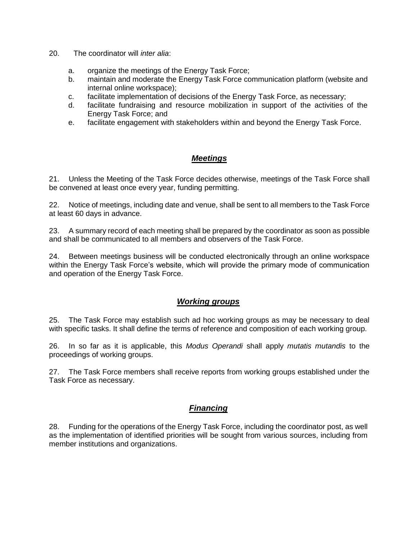- 20. The coordinator will *inter alia*:
	- a. organize the meetings of the Energy Task Force;
	- b. maintain and moderate the Energy Task Force communication platform (website and internal online workspace);
	- c. facilitate implementation of decisions of the Energy Task Force, as necessary;
	- d. facilitate fundraising and resource mobilization in support of the activities of the Energy Task Force; and
	- e. facilitate engagement with stakeholders within and beyond the Energy Task Force.

### *Meetings*

21. Unless the Meeting of the Task Force decides otherwise, meetings of the Task Force shall be convened at least once every year, funding permitting.

22. Notice of meetings, including date and venue, shall be sent to all members to the Task Force at least 60 days in advance.

23. A summary record of each meeting shall be prepared by the coordinator as soon as possible and shall be communicated to all members and observers of the Task Force.

24. Between meetings business will be conducted electronically through an online workspace within the Energy Task Force's website, which will provide the primary mode of communication and operation of the Energy Task Force.

### *Working groups*

25. The Task Force may establish such ad hoc working groups as may be necessary to deal with specific tasks. It shall define the terms of reference and composition of each working group.

26. In so far as it is applicable, this *Modus Operandi* shall apply *mutatis mutandis* to the proceedings of working groups.

27. The Task Force members shall receive reports from working groups established under the Task Force as necessary.

### *Financing*

28. Funding for the operations of the Energy Task Force, including the coordinator post, as well as the implementation of identified priorities will be sought from various sources, including from member institutions and organizations.